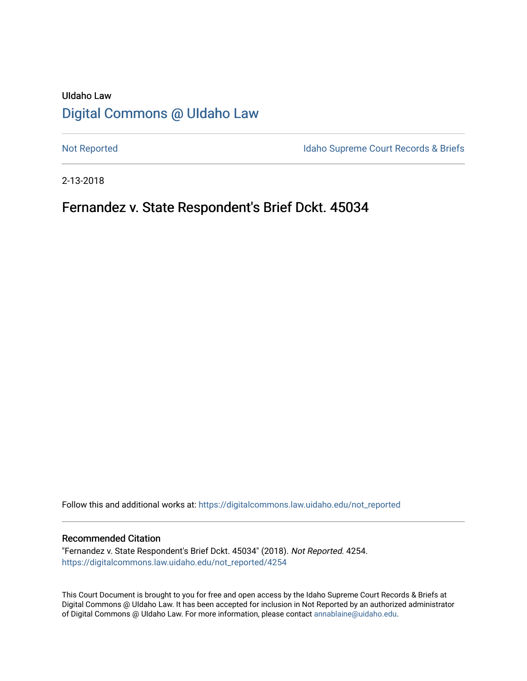# UIdaho Law [Digital Commons @ UIdaho Law](https://digitalcommons.law.uidaho.edu/)

[Not Reported](https://digitalcommons.law.uidaho.edu/not_reported) **Idaho Supreme Court Records & Briefs** 

2-13-2018

# Fernandez v. State Respondent's Brief Dckt. 45034

Follow this and additional works at: [https://digitalcommons.law.uidaho.edu/not\\_reported](https://digitalcommons.law.uidaho.edu/not_reported?utm_source=digitalcommons.law.uidaho.edu%2Fnot_reported%2F4254&utm_medium=PDF&utm_campaign=PDFCoverPages) 

#### Recommended Citation

"Fernandez v. State Respondent's Brief Dckt. 45034" (2018). Not Reported. 4254. [https://digitalcommons.law.uidaho.edu/not\\_reported/4254](https://digitalcommons.law.uidaho.edu/not_reported/4254?utm_source=digitalcommons.law.uidaho.edu%2Fnot_reported%2F4254&utm_medium=PDF&utm_campaign=PDFCoverPages)

This Court Document is brought to you for free and open access by the Idaho Supreme Court Records & Briefs at Digital Commons @ UIdaho Law. It has been accepted for inclusion in Not Reported by an authorized administrator of Digital Commons @ UIdaho Law. For more information, please contact [annablaine@uidaho.edu](mailto:annablaine@uidaho.edu).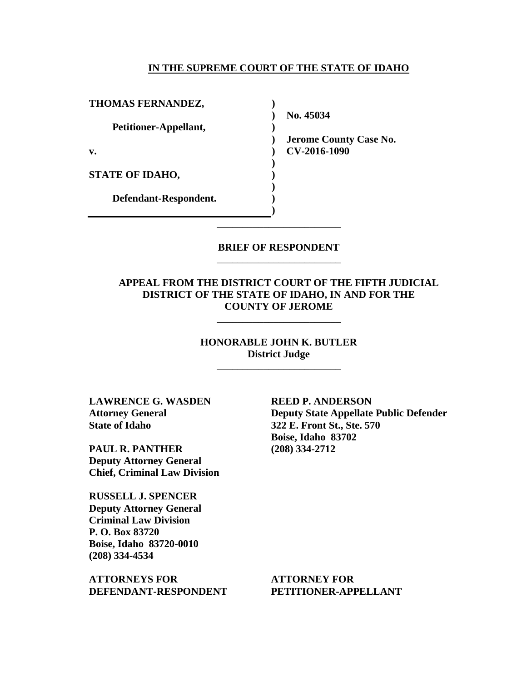#### **IN THE SUPREME COURT OF THE STATE OF IDAHO**

**)**

**)**

**) ) ) ) )** \_\_\_\_\_\_\_\_\_\_\_\_\_\_\_\_\_\_\_\_\_\_\_\_

| THOMAS FERNANDEZ,      |
|------------------------|
| Petitioner-Appellant,  |
| v.                     |
| <b>STATE OF IDAHO,</b> |
| Defendant-Respondent.  |

**) No. 45034 ) Jerome County Case No. ) CV-2016-1090** 

### **BRIEF OF RESPONDENT** \_\_\_\_\_\_\_\_\_\_\_\_\_\_\_\_\_\_\_\_\_\_\_\_

### **APPEAL FROM THE DISTRICT COURT OF THE FIFTH JUDICIAL DISTRICT OF THE STATE OF IDAHO, IN AND FOR THE COUNTY OF JEROME**

\_\_\_\_\_\_\_\_\_\_\_\_\_\_\_\_\_\_\_\_\_\_\_\_

### **HONORABLE JOHN K. BUTLER District Judge**

\_\_\_\_\_\_\_\_\_\_\_\_\_\_\_\_\_\_\_\_\_\_\_\_

**LAWRENCE G. WASDEN Attorney General State of Idaho** 

**PAUL R. PANTHER Deputy Attorney General Chief, Criminal Law Division**

**RUSSELL J. SPENCER Deputy Attorney General Criminal Law Division P. O. Box 83720 Boise, Idaho 83720-0010 (208) 334-4534** 

**ATTORNEYS FOR DEFENDANT-RESPONDENT** **REED P. ANDERSON Deputy State Appellate Public Defender 322 E. Front St., Ste. 570 Boise, Idaho 83702 (208) 334-2712** 

**ATTORNEY FOR PETITIONER-APPELLANT**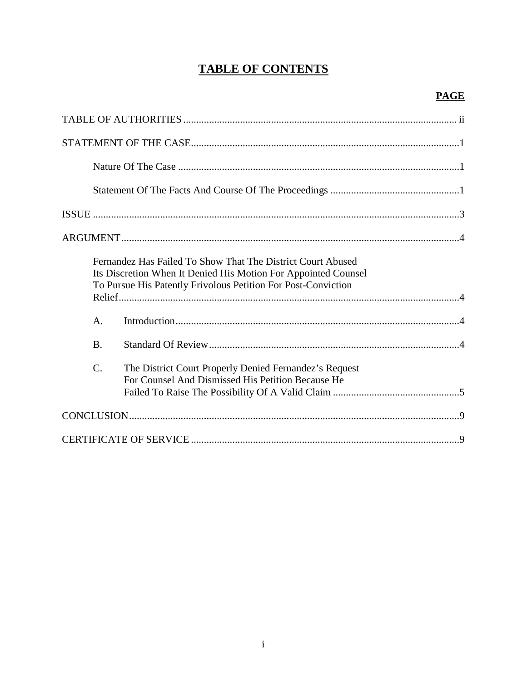# **TABLE OF CONTENTS**

|                 | Fernandez Has Failed To Show That The District Court Abused<br>Its Discretion When It Denied His Motion For Appointed Counsel<br>To Pursue His Patently Frivolous Petition For Post-Conviction |
|-----------------|------------------------------------------------------------------------------------------------------------------------------------------------------------------------------------------------|
| A.              |                                                                                                                                                                                                |
| <b>B.</b>       |                                                                                                                                                                                                |
| $\mathcal{C}$ . | The District Court Properly Denied Fernandez's Request<br>For Counsel And Dismissed His Petition Because He                                                                                    |
|                 |                                                                                                                                                                                                |
|                 |                                                                                                                                                                                                |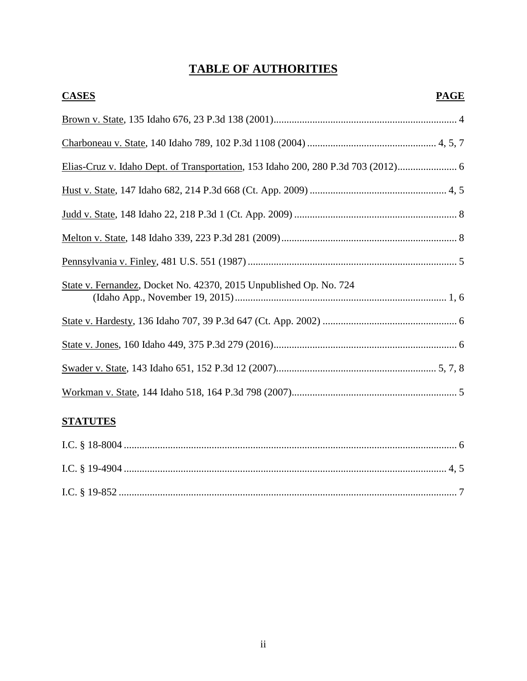# **TABLE OF AUTHORITIES**

| <b>CASES</b><br><b>PAGE</b>                                                     |
|---------------------------------------------------------------------------------|
|                                                                                 |
|                                                                                 |
| Elias-Cruz v. Idaho Dept. of Transportation, 153 Idaho 200, 280 P.3d 703 (2012) |
|                                                                                 |
|                                                                                 |
|                                                                                 |
|                                                                                 |
| State v. Fernandez, Docket No. 42370, 2015 Unpublished Op. No. 724              |
|                                                                                 |
|                                                                                 |
|                                                                                 |
|                                                                                 |

## **STATUTES**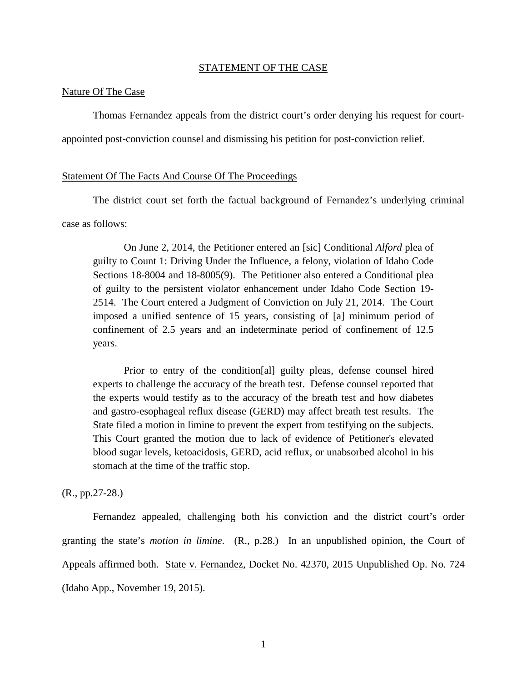#### STATEMENT OF THE CASE

#### Nature Of The Case

Thomas Fernandez appeals from the district court's order denying his request for court-

appointed post-conviction counsel and dismissing his petition for post-conviction relief.

#### Statement Of The Facts And Course Of The Proceedings

The district court set forth the factual background of Fernandez's underlying criminal case as follows:

On June 2, 2014, the Petitioner entered an [sic] Conditional *Alford* plea of guilty to Count 1: Driving Under the Influence, a felony, violation of Idaho Code Sections 18-8004 and 18-8005(9). The Petitioner also entered a Conditional plea of guilty to the persistent violator enhancement under Idaho Code Section 19- 2514. The Court entered a Judgment of Conviction on July 21, 2014. The Court imposed a unified sentence of 15 years, consisting of [a] minimum period of confinement of 2.5 years and an indeterminate period of confinement of 12.5 years.

Prior to entry of the condition[al] guilty pleas, defense counsel hired experts to challenge the accuracy of the breath test. Defense counsel reported that the experts would testify as to the accuracy of the breath test and how diabetes and gastro-esophageal reflux disease (GERD) may affect breath test results. The State filed a motion in limine to prevent the expert from testifying on the subjects. This Court granted the motion due to lack of evidence of Petitioner's elevated blood sugar levels, ketoacidosis, GERD, acid reflux, or unabsorbed alcohol in his stomach at the time of the traffic stop.

#### (R., pp.27-28.)

Fernandez appealed, challenging both his conviction and the district court's order granting the state's *motion in limine*. (R., p.28.) In an unpublished opinion, the Court of Appeals affirmed both. State v. Fernandez, Docket No. 42370, 2015 Unpublished Op. No. 724 (Idaho App., November 19, 2015).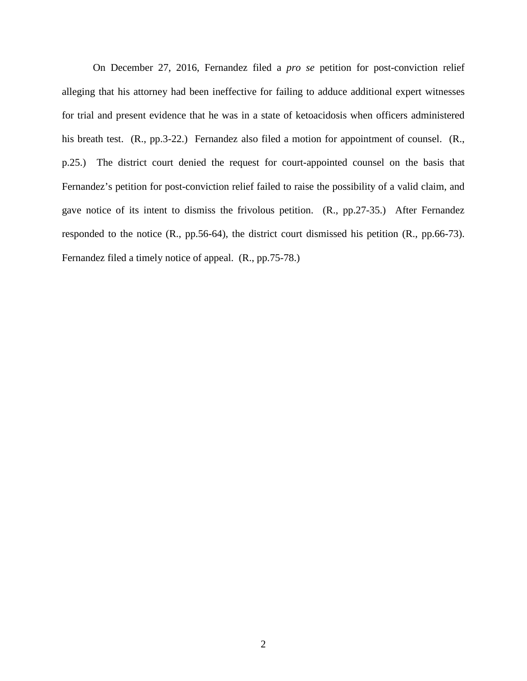On December 27, 2016, Fernandez filed a *pro se* petition for post-conviction relief alleging that his attorney had been ineffective for failing to adduce additional expert witnesses for trial and present evidence that he was in a state of ketoacidosis when officers administered his breath test. (R., pp.3-22.) Fernandez also filed a motion for appointment of counsel. (R., p.25.) The district court denied the request for court-appointed counsel on the basis that Fernandez's petition for post-conviction relief failed to raise the possibility of a valid claim, and gave notice of its intent to dismiss the frivolous petition. (R., pp.27-35.) After Fernandez responded to the notice (R., pp.56-64), the district court dismissed his petition (R., pp.66-73). Fernandez filed a timely notice of appeal. (R., pp.75-78.)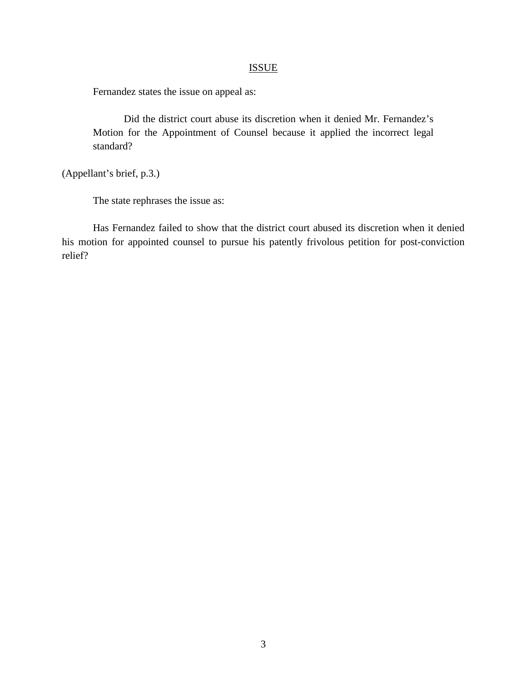## **ISSUE**

Fernandez states the issue on appeal as:

Did the district court abuse its discretion when it denied Mr. Fernandez's Motion for the Appointment of Counsel because it applied the incorrect legal standard?

(Appellant's brief, p.3.)

The state rephrases the issue as:

Has Fernandez failed to show that the district court abused its discretion when it denied his motion for appointed counsel to pursue his patently frivolous petition for post-conviction relief?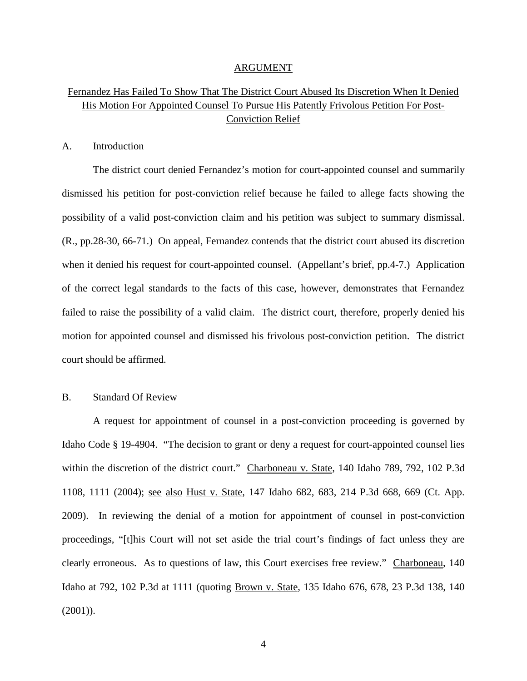#### ARGUMENT

## Fernandez Has Failed To Show That The District Court Abused Its Discretion When It Denied His Motion For Appointed Counsel To Pursue His Patently Frivolous Petition For Post-Conviction Relief

#### A. Introduction

The district court denied Fernandez's motion for court-appointed counsel and summarily dismissed his petition for post-conviction relief because he failed to allege facts showing the possibility of a valid post-conviction claim and his petition was subject to summary dismissal. (R., pp.28-30, 66-71.) On appeal, Fernandez contends that the district court abused its discretion when it denied his request for court-appointed counsel. (Appellant's brief, pp.4-7.) Application of the correct legal standards to the facts of this case, however, demonstrates that Fernandez failed to raise the possibility of a valid claim. The district court, therefore, properly denied his motion for appointed counsel and dismissed his frivolous post-conviction petition. The district court should be affirmed.

#### B. Standard Of Review

A request for appointment of counsel in a post-conviction proceeding is governed by Idaho Code § 19-4904. "The decision to grant or deny a request for court-appointed counsel lies within the discretion of the district court." Charboneau v. State, 140 Idaho 789, 792, 102 P.3d 1108, 1111 (2004); see also Hust v. State, 147 Idaho 682, 683, 214 P.3d 668, 669 (Ct. App. 2009). In reviewing the denial of a motion for appointment of counsel in post-conviction proceedings, "[t]his Court will not set aside the trial court's findings of fact unless they are clearly erroneous. As to questions of law, this Court exercises free review." Charboneau, 140 Idaho at 792, 102 P.3d at 1111 (quoting Brown v. State, 135 Idaho 676, 678, 23 P.3d 138, 140 (2001)).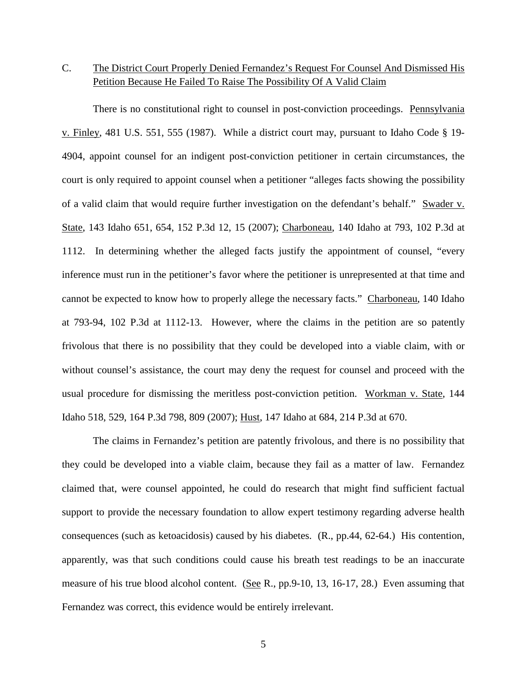## C. The District Court Properly Denied Fernandez's Request For Counsel And Dismissed His Petition Because He Failed To Raise The Possibility Of A Valid Claim

There is no constitutional right to counsel in post-conviction proceedings. Pennsylvania v. Finley, 481 U.S. 551, 555 (1987). While a district court may, pursuant to Idaho Code § 19- 4904, appoint counsel for an indigent post-conviction petitioner in certain circumstances, the court is only required to appoint counsel when a petitioner "alleges facts showing the possibility of a valid claim that would require further investigation on the defendant's behalf." Swader v. State, 143 Idaho 651, 654, 152 P.3d 12, 15 (2007); Charboneau, 140 Idaho at 793, 102 P.3d at 1112. In determining whether the alleged facts justify the appointment of counsel, "every inference must run in the petitioner's favor where the petitioner is unrepresented at that time and cannot be expected to know how to properly allege the necessary facts." Charboneau, 140 Idaho at 793-94, 102 P.3d at 1112-13. However, where the claims in the petition are so patently frivolous that there is no possibility that they could be developed into a viable claim, with or without counsel's assistance, the court may deny the request for counsel and proceed with the usual procedure for dismissing the meritless post-conviction petition. Workman v. State, 144 Idaho 518, 529, 164 P.3d 798, 809 (2007); Hust, 147 Idaho at 684, 214 P.3d at 670.

The claims in Fernandez's petition are patently frivolous, and there is no possibility that they could be developed into a viable claim, because they fail as a matter of law. Fernandez claimed that, were counsel appointed, he could do research that might find sufficient factual support to provide the necessary foundation to allow expert testimony regarding adverse health consequences (such as ketoacidosis) caused by his diabetes. (R., pp.44, 62-64.) His contention, apparently, was that such conditions could cause his breath test readings to be an inaccurate measure of his true blood alcohol content. (See R., pp.9-10, 13, 16-17, 28.) Even assuming that Fernandez was correct, this evidence would be entirely irrelevant.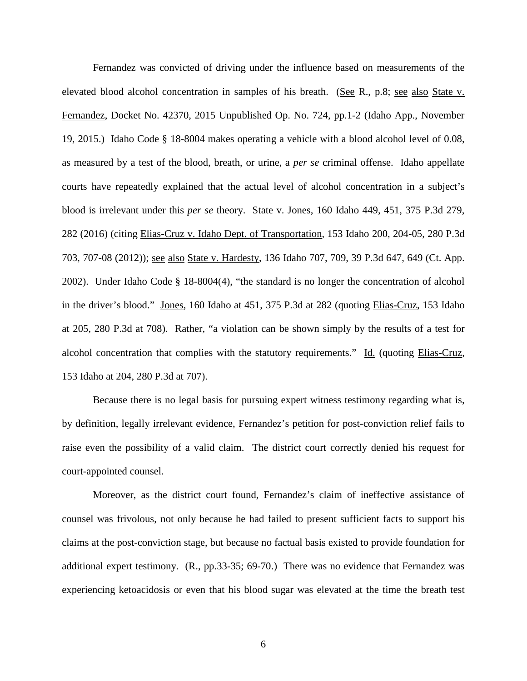Fernandez was convicted of driving under the influence based on measurements of the elevated blood alcohol concentration in samples of his breath. (See R., p.8; see also State v. Fernandez, Docket No. 42370, 2015 Unpublished Op. No. 724, pp.1-2 (Idaho App., November 19, 2015.) Idaho Code § 18-8004 makes operating a vehicle with a blood alcohol level of 0.08, as measured by a test of the blood, breath, or urine, a *per se* criminal offense. Idaho appellate courts have repeatedly explained that the actual level of alcohol concentration in a subject's blood is irrelevant under this *per se* theory. State v. Jones, 160 Idaho 449, 451, 375 P.3d 279, 282 (2016) (citing Elias-Cruz v. Idaho Dept. of Transportation, 153 Idaho 200, 204-05, 280 P.3d 703, 707-08 (2012)); <u>see also State v. Hardesty</u>, 136 Idaho 707, 709, 39 P.3d 647, 649 (Ct. App. 2002). Under Idaho Code § 18-8004(4), "the standard is no longer the concentration of alcohol in the driver's blood." Jones, 160 Idaho at 451, 375 P.3d at 282 (quoting Elias-Cruz, 153 Idaho at 205, 280 P.3d at 708). Rather, "a violation can be shown simply by the results of a test for alcohol concentration that complies with the statutory requirements." Id. (quoting Elias-Cruz, 153 Idaho at 204, 280 P.3d at 707).

Because there is no legal basis for pursuing expert witness testimony regarding what is, by definition, legally irrelevant evidence, Fernandez's petition for post-conviction relief fails to raise even the possibility of a valid claim. The district court correctly denied his request for court-appointed counsel.

Moreover, as the district court found, Fernandez's claim of ineffective assistance of counsel was frivolous, not only because he had failed to present sufficient facts to support his claims at the post-conviction stage, but because no factual basis existed to provide foundation for additional expert testimony. (R., pp.33-35; 69-70.) There was no evidence that Fernandez was experiencing ketoacidosis or even that his blood sugar was elevated at the time the breath test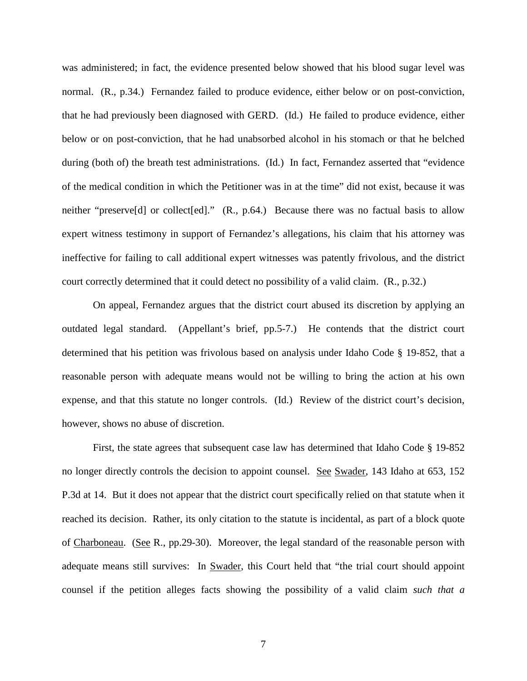was administered; in fact, the evidence presented below showed that his blood sugar level was normal. (R., p.34.) Fernandez failed to produce evidence, either below or on post-conviction, that he had previously been diagnosed with GERD. (Id.) He failed to produce evidence, either below or on post-conviction, that he had unabsorbed alcohol in his stomach or that he belched during (both of) the breath test administrations. (Id.) In fact, Fernandez asserted that "evidence of the medical condition in which the Petitioner was in at the time" did not exist, because it was neither "preserve<sup>[d]</sup> or collect<sup>[ed]</sup>." (R., p.64.) Because there was no factual basis to allow expert witness testimony in support of Fernandez's allegations, his claim that his attorney was ineffective for failing to call additional expert witnesses was patently frivolous, and the district court correctly determined that it could detect no possibility of a valid claim. (R., p.32.)

On appeal, Fernandez argues that the district court abused its discretion by applying an outdated legal standard. (Appellant's brief, pp.5-7.) He contends that the district court determined that his petition was frivolous based on analysis under Idaho Code § 19-852, that a reasonable person with adequate means would not be willing to bring the action at his own expense, and that this statute no longer controls. (Id.) Review of the district court's decision, however, shows no abuse of discretion.

First, the state agrees that subsequent case law has determined that Idaho Code § 19-852 no longer directly controls the decision to appoint counsel. See Swader, 143 Idaho at 653, 152 P.3d at 14. But it does not appear that the district court specifically relied on that statute when it reached its decision. Rather, its only citation to the statute is incidental, as part of a block quote of Charboneau. (See R., pp.29-30). Moreover, the legal standard of the reasonable person with adequate means still survives: In Swader, this Court held that "the trial court should appoint counsel if the petition alleges facts showing the possibility of a valid claim *such that a*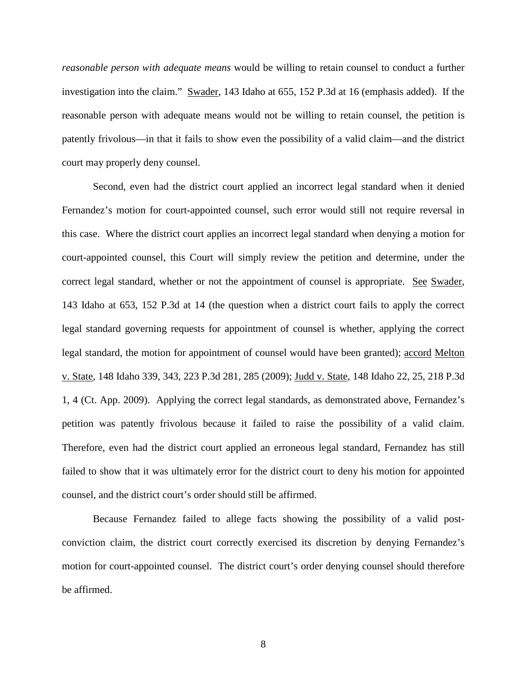*reasonable person with adequate means* would be willing to retain counsel to conduct a further investigation into the claim." Swader, 143 Idaho at 655, 152 P.3d at 16 (emphasis added). If the reasonable person with adequate means would not be willing to retain counsel, the petition is patently frivolous—in that it fails to show even the possibility of a valid claim—and the district court may properly deny counsel.

Second, even had the district court applied an incorrect legal standard when it denied Fernandez's motion for court-appointed counsel, such error would still not require reversal in this case. Where the district court applies an incorrect legal standard when denying a motion for court-appointed counsel, this Court will simply review the petition and determine, under the correct legal standard, whether or not the appointment of counsel is appropriate. See Swader, 143 Idaho at 653, 152 P.3d at 14 (the question when a district court fails to apply the correct legal standard governing requests for appointment of counsel is whether, applying the correct legal standard, the motion for appointment of counsel would have been granted); accord Melton v. State, 148 Idaho 339, 343, 223 P.3d 281, 285 (2009); Judd v. State, 148 Idaho 22, 25, 218 P.3d 1, 4 (Ct. App. 2009). Applying the correct legal standards, as demonstrated above, Fernandez's petition was patently frivolous because it failed to raise the possibility of a valid claim. Therefore, even had the district court applied an erroneous legal standard, Fernandez has still failed to show that it was ultimately error for the district court to deny his motion for appointed counsel, and the district court's order should still be affirmed.

Because Fernandez failed to allege facts showing the possibility of a valid postconviction claim, the district court correctly exercised its discretion by denying Fernandez's motion for court-appointed counsel. The district court's order denying counsel should therefore be affirmed.

8